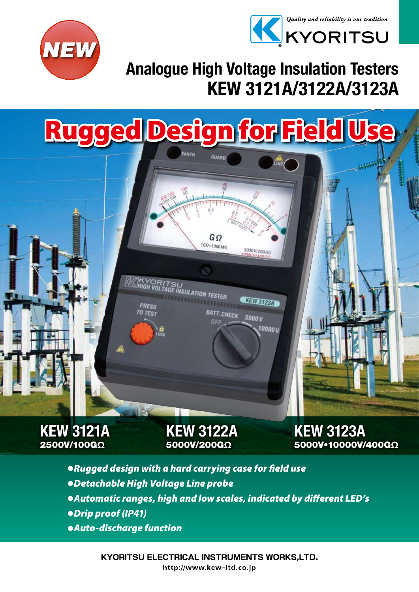



### KEW 3121A/3122A/3123A Analogue High Voltage Insulation Testers

5000V/200GO

**KEW 3123A** 

10000 v

 $5000V$ 

## Rugged Design for Field U

GΩ 1GQ=1000MO

**BATT.CHECK** 

**INSULATION TESTER** 



KEW 3122A 5000V/200GΩ

KEW 3123A 5000V•10000V/400GΩ

- ● *Rugged design with a hard carrying case for field use* ● *Detachable High Voltage Line probe* ● Automatic ranges, high and low scales, indicated by different LED's ● *Drip proof (IP41)*
- ● *Auto-discharge function*

**KYORITSU ELECTRICAL INSTRUMENTS WORKS,LTD.** http://www.kew-ltd.co.jp